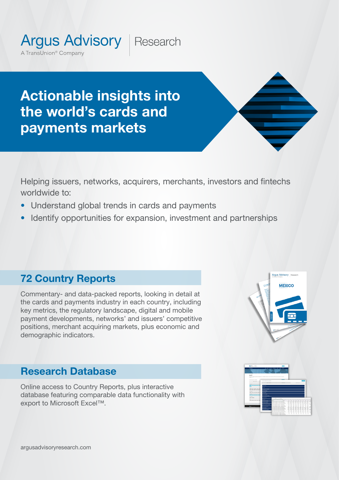Research

Actionable insights into the world's cards and payments markets

**Argus Advisory** 

A TransUnion<sup>®</sup> Company

Helping issuers, networks, acquirers, merchants, investors and fintechs worldwide to:

- Understand global trends in cards and payments
- Identify opportunities for expansion, investment and partnerships

**Argus Advisory Researc MEXICO** 

# 72 Country Reports

Commentary- and data-packed reports, looking in detail at the cards and payments industry in each country, including key metrics, the regulatory landscape, digital and mobile payment developments, networks' and issuers' competitive positions, merchant acquiring markets, plus economic and demographic indicators.

# Research Database

Online access to Country Reports, plus interactive database featuring comparable data functionality with export to Microsoft Excel™.